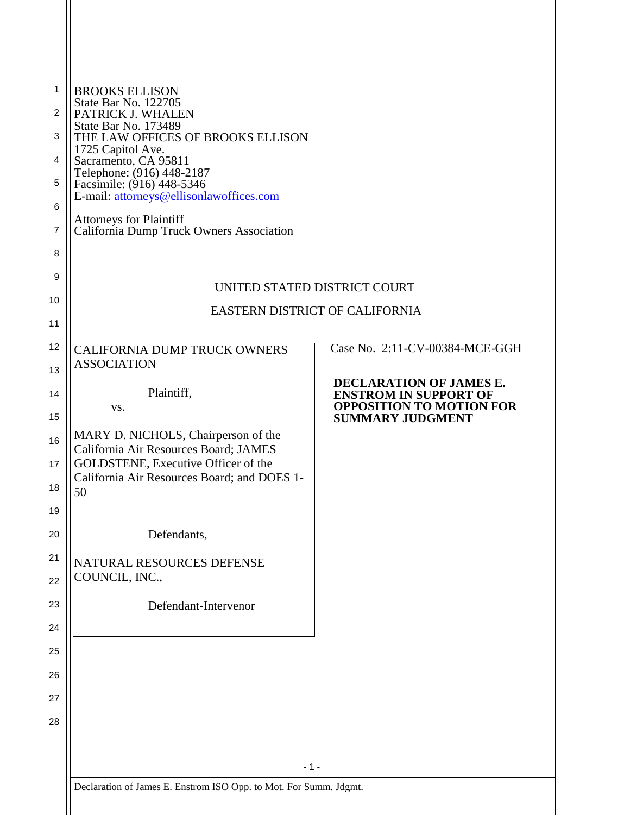| <b>BROOKS ELLISON</b><br>State Bar No. 122705                                      |                                                                 |
|------------------------------------------------------------------------------------|-----------------------------------------------------------------|
| PATRICK J. WHALEN<br>State Bar No. 173489                                          |                                                                 |
| THE LAW OFFICES OF BROOKS ELLISON<br>1725 Capitol Ave.                             |                                                                 |
| Sacramento, CA 95811<br>Telephone: (916) 448-2187                                  |                                                                 |
| Facsimile: (916) 448-5346<br>E-mail: attorneys@ellisonlawoffices.com               |                                                                 |
| <b>Attorneys for Plaintiff</b>                                                     |                                                                 |
| California Dump Truck Owners Association                                           |                                                                 |
|                                                                                    |                                                                 |
|                                                                                    | UNITED STATED DISTRICT COURT                                    |
|                                                                                    | EASTERN DISTRICT OF CALIFORNIA                                  |
|                                                                                    |                                                                 |
| CALIFORNIA DUMP TRUCK OWNERS                                                       | Case No. 2:11-CV-00384-MCE-GGH                                  |
| <b>ASSOCIATION</b>                                                                 | DECLARATION OF JAMES E.                                         |
| Plaintiff,<br>VS.                                                                  | <b>ENSTROM IN SUPPORT OF</b><br><b>OPPOSITION TO MOTION FOR</b> |
|                                                                                    | <b>SUMMARY JUDGMENT</b>                                         |
| MARY D. NICHOLS, Chairperson of the<br>California Air Resources Board; JAMES       |                                                                 |
| GOLDSTENE, Executive Officer of the<br>California Air Resources Board; and DOES 1- |                                                                 |
| 50                                                                                 |                                                                 |
|                                                                                    |                                                                 |
| Defendants,                                                                        |                                                                 |
| NATURAL RESOURCES DEFENSE                                                          |                                                                 |
| COUNCIL, INC.,                                                                     |                                                                 |
| Defendant-Intervenor                                                               |                                                                 |
|                                                                                    |                                                                 |
|                                                                                    |                                                                 |
|                                                                                    |                                                                 |
|                                                                                    |                                                                 |
|                                                                                    |                                                                 |
|                                                                                    |                                                                 |
| $-1-$                                                                              |                                                                 |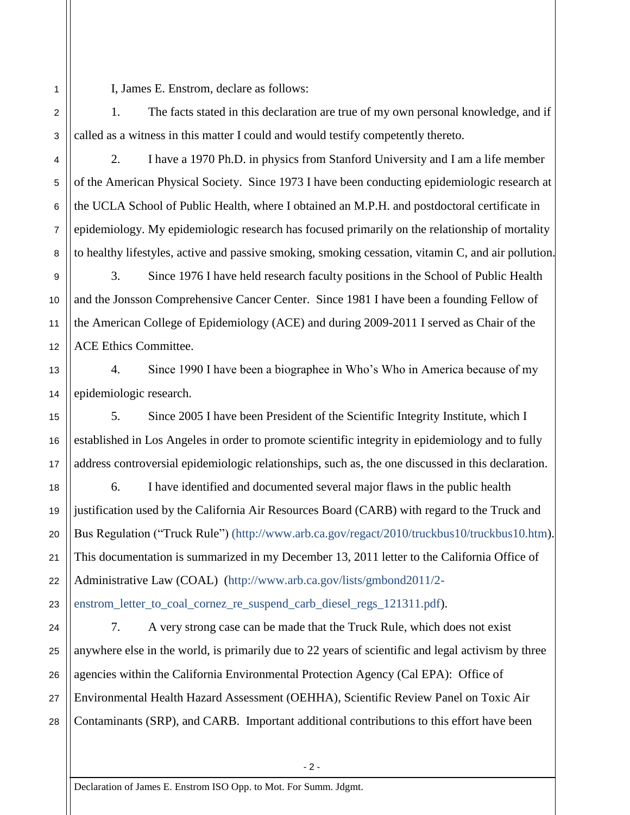I, James E. Enstrom, declare as follows:

1. The facts stated in this declaration are true of my own personal knowledge, and if called as a witness in this matter I could and would testify competently thereto.

2. I have a 1970 Ph.D. in physics from Stanford University and I am a life member of the American Physical Society. Since 1973 I have been conducting epidemiologic research at the UCLA School of Public Health, where I obtained an M.P.H. and postdoctoral certificate in epidemiology. My epidemiologic research has focused primarily on the relationship of mortality to healthy lifestyles, active and passive smoking, smoking cessation, vitamin C, and air pollution.

3. Since 1976 I have held research faculty positions in the School of Public Health and the Jonsson Comprehensive Cancer Center. Since 1981 I have been a founding Fellow of the American College of Epidemiology (ACE) and during 2009-2011 I served as Chair of the ACE Ethics Committee.

4. Since 1990 I have been a biographee in Who's Who in America because of my epidemiologic research.

5. Since 2005 I have been President of the Scientific Integrity Institute, which I established in Los Angeles in order to promote scientific integrity in epidemiology and to fully address controversial epidemiologic relationships, such as, the one discussed in this declaration.

6. I have identified and documented several major flaws in the public health justification used by the California Air Resources Board (CARB) with regard to the Truck and Bus Regulation ("Truck Rule") [\(http://www.arb.ca.gov/regact/2010/truckbus10/truckbus10.htm\)](http://www.arb.ca.gov/regact/2010/truckbus10/truckbus10.htm). This documentation is summarized in my December 13, 2011 letter to the California Office of Administrative Law (COAL) [\(http://www.arb.ca.gov/lists/gmbond2011/2-](http://www.arb.ca.gov/lists/gmbond2011/2-enstrom_letter_to_coal_cornez_re_suspend_carb_diesel_regs_121311.pdf)

[enstrom\\_letter\\_to\\_coal\\_cornez\\_re\\_suspend\\_carb\\_diesel\\_regs\\_121311.pdf\)](http://www.arb.ca.gov/lists/gmbond2011/2-enstrom_letter_to_coal_cornez_re_suspend_carb_diesel_regs_121311.pdf).

7. A very strong case can be made that the Truck Rule, which does not exist anywhere else in the world, is primarily due to 22 years of scientific and legal activism by three agencies within the California Environmental Protection Agency (Cal EPA): Office of Environmental Health Hazard Assessment (OEHHA), Scientific Review Panel on Toxic Air Contaminants (SRP), and CARB. Important additional contributions to this effort have been

1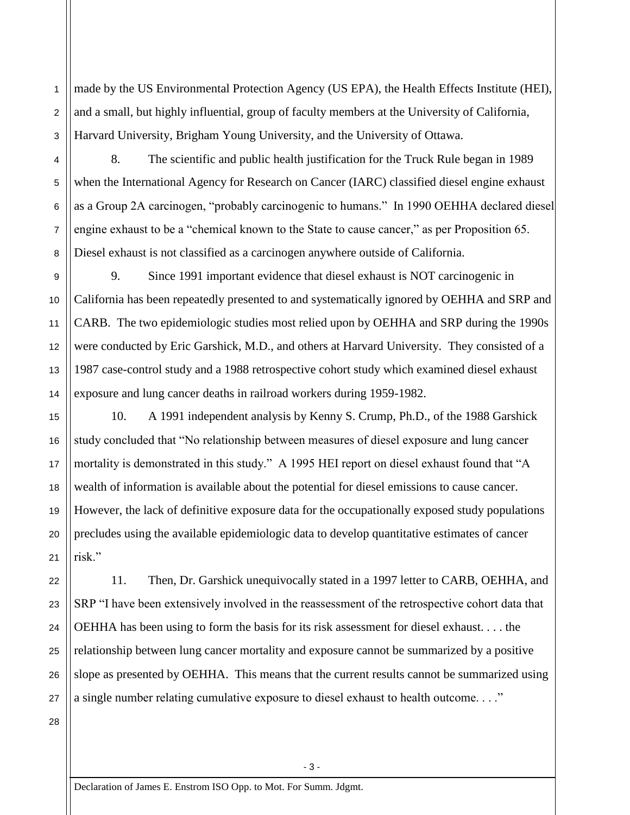made by the US Environmental Protection Agency (US EPA), the Health Effects Institute (HEI), and a small, but highly influential, group of faculty members at the University of California, Harvard University, Brigham Young University, and the University of Ottawa.

8. The scientific and public health justification for the Truck Rule began in 1989 when the International Agency for Research on Cancer (IARC) classified diesel engine exhaust as a Group 2A carcinogen, "probably carcinogenic to humans." In 1990 OEHHA declared diesel engine exhaust to be a "chemical known to the State to cause cancer," as per Proposition 65. Diesel exhaust is not classified as a carcinogen anywhere outside of California.

9. Since 1991 important evidence that diesel exhaust is NOT carcinogenic in California has been repeatedly presented to and systematically ignored by OEHHA and SRP and CARB. The two epidemiologic studies most relied upon by OEHHA and SRP during the 1990s were conducted by Eric Garshick, M.D., and others at Harvard University. They consisted of a 1987 case-control study and a 1988 retrospective cohort study which examined diesel exhaust exposure and lung cancer deaths in railroad workers during 1959-1982.

10. A 1991 independent analysis by Kenny S. Crump, Ph.D., of the 1988 Garshick study concluded that "No relationship between measures of diesel exposure and lung cancer mortality is demonstrated in this study." A 1995 HEI report on diesel exhaust found that "A wealth of information is available about the potential for diesel emissions to cause cancer. However, the lack of definitive exposure data for the occupationally exposed study populations precludes using the available epidemiologic data to develop quantitative estimates of cancer risk"

11. Then, Dr. Garshick unequivocally stated in a 1997 letter to CARB, OEHHA, and SRP "I have been extensively involved in the reassessment of the retrospective cohort data that OEHHA has been using to form the basis for its risk assessment for diesel exhaust. . . . the relationship between lung cancer mortality and exposure cannot be summarized by a positive slope as presented by OEHHA. This means that the current results cannot be summarized using a single number relating cumulative exposure to diesel exhaust to health outcome. . . ."

28

1

2

3

4

5

6

7

8

9

10

11

12

13

14

15

16

17

18

19

20

21

22

23

24

25

26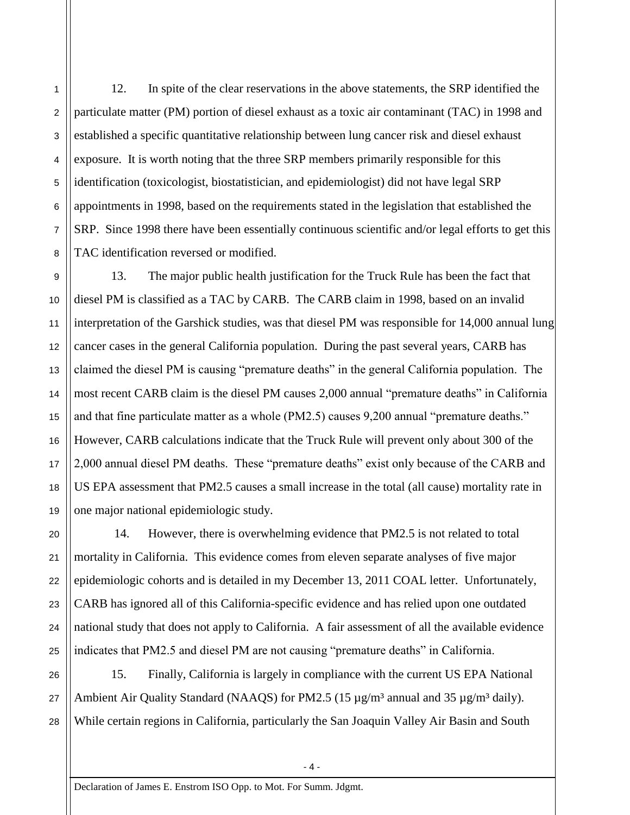12. In spite of the clear reservations in the above statements, the SRP identified the particulate matter (PM) portion of diesel exhaust as a toxic air contaminant (TAC) in 1998 and established a specific quantitative relationship between lung cancer risk and diesel exhaust exposure. It is worth noting that the three SRP members primarily responsible for this identification (toxicologist, biostatistician, and epidemiologist) did not have legal SRP appointments in 1998, based on the requirements stated in the legislation that established the SRP. Since 1998 there have been essentially continuous scientific and/or legal efforts to get this TAC identification reversed or modified.

13. The major public health justification for the Truck Rule has been the fact that diesel PM is classified as a TAC by CARB. The CARB claim in 1998, based on an invalid interpretation of the Garshick studies, was that diesel PM was responsible for 14,000 annual lung cancer cases in the general California population. During the past several years, CARB has claimed the diesel PM is causing "premature deaths" in the general California population. The most recent CARB claim is the diesel PM causes 2,000 annual "premature deaths" in California and that fine particulate matter as a whole (PM2.5) causes 9,200 annual "premature deaths." However, CARB calculations indicate that the Truck Rule will prevent only about 300 of the 2,000 annual diesel PM deaths. These "premature deaths" exist only because of the CARB and US EPA assessment that PM2.5 causes a small increase in the total (all cause) mortality rate in one major national epidemiologic study.

14. However, there is overwhelming evidence that PM2.5 is not related to total mortality in California. This evidence comes from eleven separate analyses of five major epidemiologic cohorts and is detailed in my December 13, 2011 COAL letter. Unfortunately, CARB has ignored all of this California-specific evidence and has relied upon one outdated national study that does not apply to California. A fair assessment of all the available evidence indicates that PM2.5 and diesel PM are not causing "premature deaths" in California.

15. Finally, California is largely in compliance with the current US EPA National Ambient Air Quality Standard (NAAQS) for PM2.5 (15  $\mu$ g/m<sup>3</sup> annual and 35  $\mu$ g/m<sup>3</sup> daily). While certain regions in California, particularly the San Joaquin Valley Air Basin and South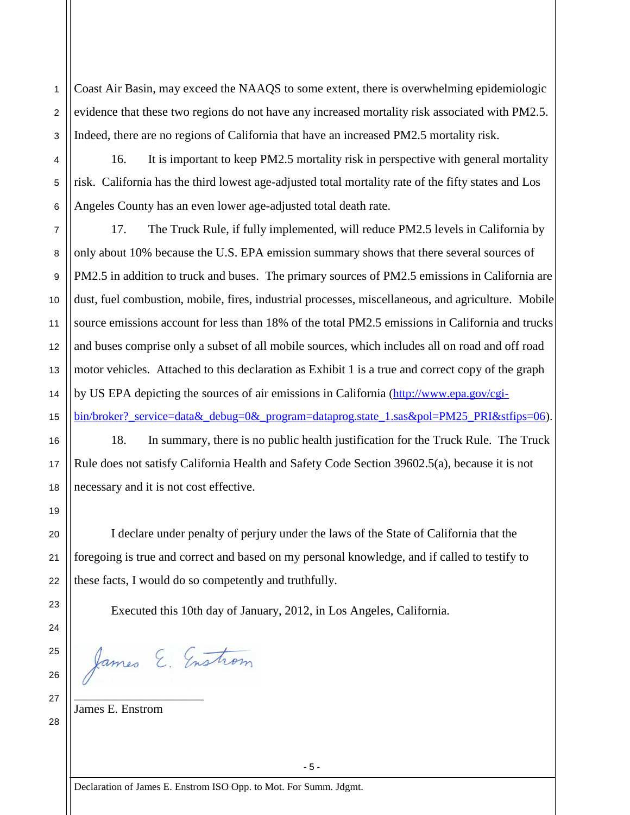Coast Air Basin, may exceed the NAAQS to some extent, there is overwhelming epidemiologic evidence that these two regions do not have any increased mortality risk associated with PM2.5. Indeed, there are no regions of California that have an increased PM2.5 mortality risk.

16. It is important to keep PM2.5 mortality risk in perspective with general mortality risk. California has the third lowest age-adjusted total mortality rate of the fifty states and Los Angeles County has an even lower age-adjusted total death rate.

17. The Truck Rule, if fully implemented, will reduce PM2.5 levels in California by only about 10% because the U.S. EPA emission summary shows that there several sources of PM2.5 in addition to truck and buses. The primary sources of PM2.5 emissions in California are dust, fuel combustion, mobile, fires, industrial processes, miscellaneous, and agriculture. Mobile source emissions account for less than 18% of the total PM2.5 emissions in California and trucks and buses comprise only a subset of all mobile sources, which includes all on road and off road motor vehicles. Attached to this declaration as Exhibit 1 is a true and correct copy of the graph by US EPA depicting the sources of air emissions in California [\(http://www.epa.gov/cgi](http://www.epa.gov/cgi-bin/broker?_service=data&_debug=0&_program=dataprog.state_1.sas&pol=PM25_PRI&stfips=06)[bin/broker?\\_service=data&\\_debug=0&\\_program=dataprog.state\\_1.sas&pol=PM25\\_PRI&stfips=06\)](http://www.epa.gov/cgi-bin/broker?_service=data&_debug=0&_program=dataprog.state_1.sas&pol=PM25_PRI&stfips=06).

18. In summary, there is no public health justification for the Truck Rule. The Truck Rule does not satisfy California Health and Safety Code Section 39602.5(a), because it is not necessary and it is not cost effective.

I declare under penalty of perjury under the laws of the State of California that the foregoing is true and correct and based on my personal knowledge, and if called to testify to these facts, I would do so competently and truthfully.

Executed this 10th day of January, 2012, in Los Angeles, California.

James E. Enstrom

James E. Enstrom

\_\_\_\_\_\_\_\_\_\_\_\_\_\_\_\_\_\_\_\_\_

1

2

3

4

5

6

7

8

9

10

11

12

13

14

15

16

17

18

19

20

21

22

23

24

25